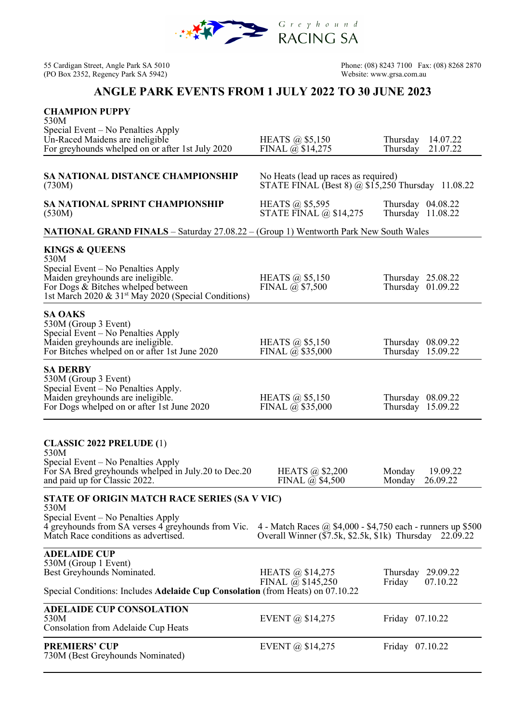

(PO Box 2352, Regency Park SA 5942)

55 Cardigan Street, Angle Park SA 5010<br>
(PO Box 2352, Regency Park SA 5942) 
(PO Box 2352, Regency Park SA 5942)<br>
Website: www.grsa.com.au

## **ANGLE PARK EVENTS FROM 1 JULY 2022 TO 30 JUNE 2023**

| <b>CHAMPION PUPPY</b><br>530M<br>Special Event – No Penalties Apply                                                                                                                                                   |                                                                                                                 |                                              |  |  |
|-----------------------------------------------------------------------------------------------------------------------------------------------------------------------------------------------------------------------|-----------------------------------------------------------------------------------------------------------------|----------------------------------------------|--|--|
| Un-Raced Maidens are ineligible<br>For greyhounds whelped on or after 1st July 2020                                                                                                                                   | HEATS $\omega$ \$5,150<br>FINAL $\overline{a}$ \$14,275                                                         | 14.07.22<br>Thursday<br>Thursday<br>21.07.22 |  |  |
|                                                                                                                                                                                                                       |                                                                                                                 |                                              |  |  |
| <b>SA NATIONAL DISTANCE CHAMPIONSHIP</b><br>(730M)                                                                                                                                                                    | No Heats (lead up races as required)<br>STATE FINAL (Best 8) $\omega$ \$15,250 Thursday 11.08.22                |                                              |  |  |
| <b>SA NATIONAL SPRINT CHAMPIONSHIP</b><br>(530M)                                                                                                                                                                      | HEATS @ \$5,595<br>STATE FINAL $\omega$ \$14,275                                                                | Thursday $04.08.22$<br>Thursday 11.08.22     |  |  |
| <b>NATIONAL GRAND FINALS</b> – Saturday 27.08.22 – (Group 1) Wentworth Park New South Wales                                                                                                                           |                                                                                                                 |                                              |  |  |
| <b>KINGS &amp; QUEENS</b><br>530M<br>Special Event – No Penalties Apply<br>Maiden greyhounds are ineligible.<br>For Dogs & Bitches whelped between<br>1st March 2020 & 31 <sup>st</sup> May 2020 (Special Conditions) | HEATS $\omega$ \$5,150<br>FINAL $\overline{a}$ \$7,500                                                          | Thursday 25.08.22<br>Thursday 01.09.22       |  |  |
| <b>SA OAKS</b><br>530M (Group 3 Event)<br>Special Event - No Penalties Apply<br>Maiden greyhounds are ineligible.<br>For Bitches whelped on or after 1st June 2020                                                    | HEATS $\omega$ \$5,150<br>FINAL $\overline{a}$ \$35,000                                                         | Thursday $08.09.22$<br>Thursday 15.09.22     |  |  |
| <b>SA DERBY</b><br>530M (Group 3 Event)<br>Special Event – No Penalties Apply.<br>Maiden greyhounds are ineligible.<br>For Dogs whelped on or after 1st June 2020                                                     | HEATS $\omega$ \$5,150<br>FINAL $\overline{a}$ \$35,000                                                         | Thursday $08.09.22$<br>Thursday 15.09.22     |  |  |
| <b>CLASSIC 2022 PRELUDE (1)</b><br>530M                                                                                                                                                                               |                                                                                                                 |                                              |  |  |
| Special Event – No Penalties Apply<br>For SA Bred greyhounds whelped in July.20 to Dec.20<br>and paid up for Classic 2022.                                                                                            | HEATS @ \$2,200<br>FINAL $\omega$ \$4,500                                                                       | 19.09.22<br>Monday<br>Monday<br>26.09.22     |  |  |
| STATE OF ORIGIN MATCH RACE SERIES (SA V VIC)                                                                                                                                                                          |                                                                                                                 |                                              |  |  |
| 530M<br>Special Event – No Penalties Apply<br>4 greyhounds from SA verses 4 greyhounds from Vic.<br>Match Race conditions as advertised.                                                                              | 4 - Match Races @ $$4,000$ - $$4,750$ each - runners up \$500<br>Overall Winner (\$7.5k, \$2.5k, \$1k) Thursday | 22.09.22                                     |  |  |
| <b>ADELAIDE CUP</b><br>530M (Group 1 Event)<br>Best Greyhounds Nominated.                                                                                                                                             | HEATS @ \$14,275<br>FINAL $\overline{a}$ \$145,250                                                              | Thursday<br>29.09.22<br>Friday<br>07.10.22   |  |  |
| Special Conditions: Includes Adelaide Cup Consolation (from Heats) on 07.10.22                                                                                                                                        |                                                                                                                 |                                              |  |  |
| <b>ADELAIDE CUP CONSOLATION</b><br>530M<br>Consolation from Adelaide Cup Heats                                                                                                                                        | EVENT @ $$14,275$                                                                                               | Friday 07.10.22                              |  |  |
| <b>PREMIERS' CUP</b><br>730M (Best Greyhounds Nominated)                                                                                                                                                              | EVENT @ $$14,275$                                                                                               | Friday 07.10.22                              |  |  |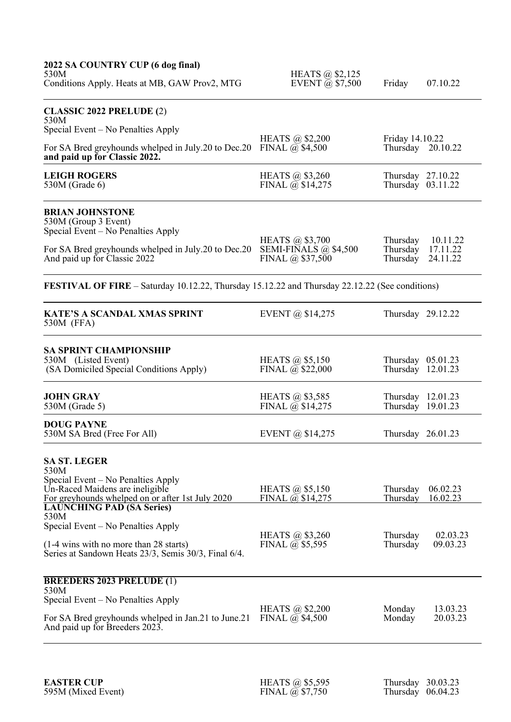| 2022 SA COUNTRY CUP (6 dog final)<br>530M<br>Conditions Apply. Heats at MB, GAW Prov2, MTG                                                                                                                                           | HEATS @ \$2,125<br>EVENT $\bar{\omega}$ \$7,500                      | Friday                                   | 07.10.22                         |  |  |
|--------------------------------------------------------------------------------------------------------------------------------------------------------------------------------------------------------------------------------------|----------------------------------------------------------------------|------------------------------------------|----------------------------------|--|--|
| <b>CLASSIC 2022 PRELUDE (2)</b><br>530M                                                                                                                                                                                              |                                                                      |                                          |                                  |  |  |
| Special Event – No Penalties Apply<br>For SA Bred greyhounds whelped in July.20 to Dec.20<br>and paid up for Classic 2022.                                                                                                           | HEATS @ \$2,200<br>FINAL $\overline{a}$ \$4,500                      | Friday 14.10.22<br>Thursday 20.10.22     |                                  |  |  |
| <b>LEIGH ROGERS</b><br>530M (Grade 6)                                                                                                                                                                                                | HEATS $\omega$ \$3,260<br>FINAL $\overline{a}$ , \$14,275            | Thursday $27.10.22$<br>Thursday 03.11.22 |                                  |  |  |
| <b>BRIAN JOHNSTONE</b><br>530M (Group 3 Event)<br>Special Event – No Penalties Apply                                                                                                                                                 | HEATS @ \$3,700                                                      | Thursday                                 | 10.11.22                         |  |  |
| For SA Bred greyhounds whelped in July.20 to Dec.20<br>And paid up for Classic 2022                                                                                                                                                  | SEMI-FINALS $@$ \$4,500<br>FINAL $(a)$ \$37,500                      | Thursday<br>Thursday                     | 17.11.22<br>24.11.22             |  |  |
| <b>FESTIVAL OF FIRE</b> – Saturday 10.12.22, Thursday 15.12.22 and Thursday 22.12.22 (See conditions)                                                                                                                                |                                                                      |                                          |                                  |  |  |
| <b>KATE'S A SCANDAL XMAS SPRINT</b><br>530M (FFA)                                                                                                                                                                                    | EVENT @ $$14,275$                                                    | Thursday 29.12.22                        |                                  |  |  |
| <b>SA SPRINT CHAMPIONSHIP</b><br>530M (Listed Event)<br>(SA Domiciled Special Conditions Apply)                                                                                                                                      | HEATS $\omega$ \$5,150<br>FINAL @ \$22,000                           | Thursday $05.01.23$<br>Thursday 12.01.23 |                                  |  |  |
| <b>JOHN GRAY</b><br>530M (Grade 5)                                                                                                                                                                                                   | HEATS $\omega$ \$3,585<br>FINAL $\overline{a}$ \$14,275              | Thursday 12.01.23<br>Thursday 19.01.23   |                                  |  |  |
| <b>DOUG PAYNE</b><br>530M SA Bred (Free For All)                                                                                                                                                                                     | EVENT @ \$14,275                                                     | Thursday 26.01.23                        |                                  |  |  |
| <b>SA ST. LEGER</b><br>530M<br>Special Event – No Penalties Apply<br>Un-Raced Maidens are ineligible                                                                                                                                 | HEATS $\omega$ \$5,150                                               | Thursday                                 | 06.02.23                         |  |  |
| For greyhounds whelped on or after 1st July 2020<br><b>LAUNCHING PAD (SA Series)</b><br>530M<br>Special Event – No Penalties Apply<br>(1-4 wins with no more than 28 starts)<br>Series at Sandown Heats 23/3, Semis 30/3, Final 6/4. | FINAL $\omega$ \$14,275<br>HEATS @ \$3,260<br>FINAL $\omega$ \$5,595 | Thursday<br>Thursday<br>Thursday         | 16.02.23<br>02.03.23<br>09.03.23 |  |  |
| <b>BREEDERS 2023 PRELUDE (1)</b><br>530M<br>Special Event – No Penalties Apply<br>For SA Bred greyhounds whelped in Jan.21 to June.21<br>And paid up for Breeders 2023.                                                              | HEATS $\omega$ \$2,200<br>FINAL $\omega$ \$4,500                     | Monday<br>Monday                         | 13.03.23<br>20.03.23             |  |  |